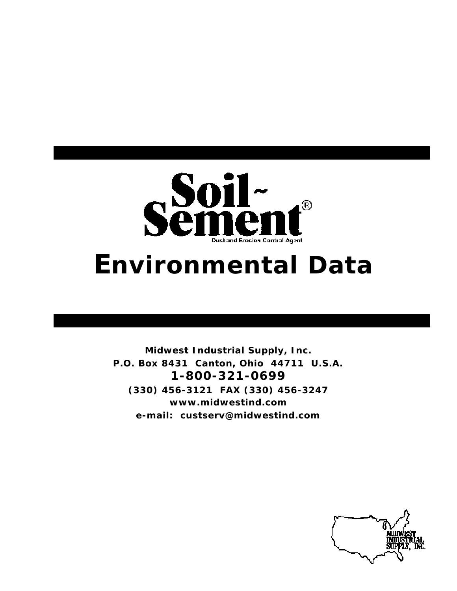

# *Environmental Data*

**Midwest Industrial Supply, Inc. P.O. Box 8431 Canton, Ohio 44711 U.S.A. 1-800-321-0699 (330) 456-3121 FAX (330) 456-3247 www.midwestind.com e-mail: custserv@midwestind.com**

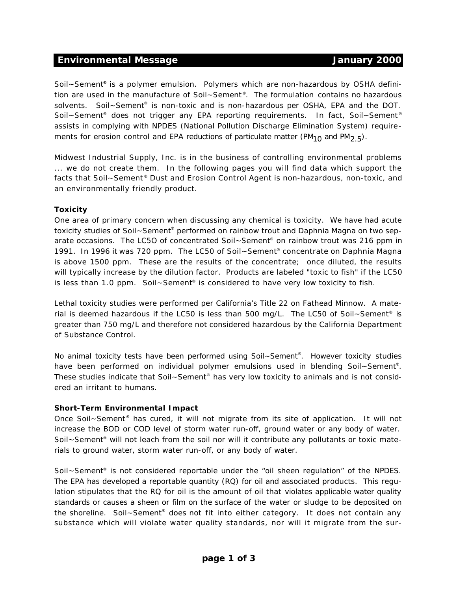#### **Environmental Message Constraining Service Constraining Service Constraining Service Constraining Service Constraining Service Constraining Service Constraining Service Construction Service Construction Service Constructi**

Soil~Sement**®** is a polymer emulsion. Polymers which are non-hazardous by OSHA definition are used in the manufacture of Soil~Sement®. The formulation contains no hazardous solvents. Soil~Sement® is non-toxic and is non-hazardous per OSHA, EPA and the DOT. Soil~Sement<sup>®</sup> does not trigger any EPA reporting requirements. In fact, Soil~Sement<sup>®</sup> assists in complying with NPDES (National Pollution Discharge Elimination System) requirements for erosion control and EPA reductions of particulate matter (PM<sub>10</sub> and PM<sub>2</sub>  $F_5$ ).

Midwest Industrial Supply, Inc. is in the business of controlling environmental problems ... we do not create them. In the following pages you will find data which support the facts that Soil~Sement® Dust and Erosion Control Agent is non-hazardous, non-toxic, and an environmentally friendly product.

#### **Toxicity**

One area of primary concern when discussing any chemical is toxicity. We have had acute toxicity studies of Soil~Sement<sup>®</sup> performed on rainbow trout and Daphnia Magna on two separate occasions. The LC5O of concentrated Soil~Sement® on rainbow trout was 216 ppm in 1991. In 1996 it was 720 ppm. The LC50 of Soil~Sement® concentrate on Daphnia Magna is above 1500 ppm. These are the results of the concentrate; once diluted, the results will typically increase by the dilution factor. Products are labeled "toxic to fish" if the LC50 is less than 1.0 ppm. Soil~Sement® is considered to have very low toxicity to fish.

Lethal toxicity studies were performed per California's Title 22 on Fathead Minnow. A material is deemed hazardous if the LC50 is less than 500 mg/L. The LC50 of Soil~Sement® is greater than 750 mg/L and therefore not considered hazardous by the California Department of Substance Control.

No animal toxicity tests have been performed using Soil~Sement®. However toxicity studies have been performed on individual polymer emulsions used in blending Soil~Sement®. These studies indicate that Soil~Sement® has very low toxicity to animals and is not considered an irritant to humans.

#### **Short-Term Environmental Impact**

Once Soil~Sement® has cured, it will not migrate from its site of application. It will not increase the BOD or COD level of storm water run-off, ground water or any body of water. Soil~Sement® will not leach from the soil nor will it contribute any pollutants or toxic materials to ground water, storm water run-off, or any body of water.

Soil~Sement® is not considered reportable under the "oil sheen regulation" of the NPDES. The EPA has developed a reportable quantity (RQ) for oil and associated products. This regulation stipulates that the RQ for oil is the amount of oil that violates applicable water quality standards or causes a sheen or film on the surface of the water or sludge to be deposited on the shoreline. Soil~Sement® does not fit into either category. It does not contain any substance which will violate water quality standards, nor will it migrate from the sur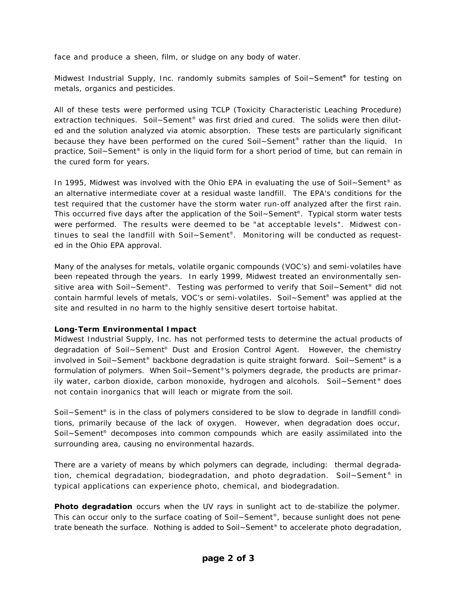face and produce a sheen, film, or sludge on any body of water.

Midwest Industrial Supply, Inc. randomly submits samples of Soil~Sement**®** for testing on metals, organics and pesticides.

All of these tests were performed using TCLP (Toxicity Characteristic Leaching Procedure) extraction techniques. Soil~Sement® was first dried and cured. The solids were then diluted and the solution analyzed via atomic absorption. These tests are particularly significant because they have been performed on the cured Soil~Sement® rather than the liquid. In practice, Soil~Sement® is only in the liquid form for a short period of time, but can remain in the cured form for years.

In 1995, Midwest was involved with the Ohio EPA in evaluating the use of Soil~Sement<sup>®</sup> as an alternative intermediate cover at a residual waste landfill. The EPA's conditions for the test required that the customer have the storm water run-off analyzed after the first rain. This occurred five days after the application of the Soil~Sement®. Typical storm water tests were performed. The results were deemed to be "at acceptable levels". Midwest continues to seal the landfill with Soil~Sement® . Monitoring will be conducted as requested in the Ohio EPA approval.

Many of the analyses for metals, volatile organic compounds (VOC's) and semi-volatiles have been repeated through the years. In early 1999, Midwest treated an environmentally sensitive area with Soil~Sement®. Testing was performed to verify that Soil~Sement® did not contain harmful levels of metals, VOC's or semi-volatiles. Soil~Sement® was applied at the site and resulted in no harm to the highly sensitive desert tortoise habitat.

#### **Long-Term Environmental Impact**

Midwest Industrial Supply, Inc. has not performed tests to determine the actual products of degradation of Soil~Sement® Dust and Erosion Control Agent. However, the chemistry involved in Soil~Sement® backbone degradation is quite straight forward. Soil~Sement® is a formulation of polymers. When Soil~Sement®'s polymers degrade, the products are primarily water, carbon dioxide, carbon monoxide, hydrogen and alcohols. Soil~Sement<sup>®</sup> does not contain inorganics that will leach or migrate from the soil.

Soil~Sement® is in the class of polymers considered to be slow to degrade in landfill conditions, primarily because of the lack of oxygen. However, when degradation does occur, Soil~Sement® decomposes into common compounds which are easily assimilated into the surrounding area, causing no environmental hazards.

There are a variety of means by which polymers can degrade, including: thermal degradation, chemical degradation, biodegradation, and photo degradation. Soil~Sement<sup>®</sup> in typical applications can experience photo, chemical, and biodegradation.

*Photo degradation* occurs when the UV rays in sunlight act to de-stabilize the polymer. This can occur only to the surface coating of Soil~Sement®, because sunlight does not penetrate beneath the surface. Nothing is added to Soil~Sement® to accelerate photo degradation,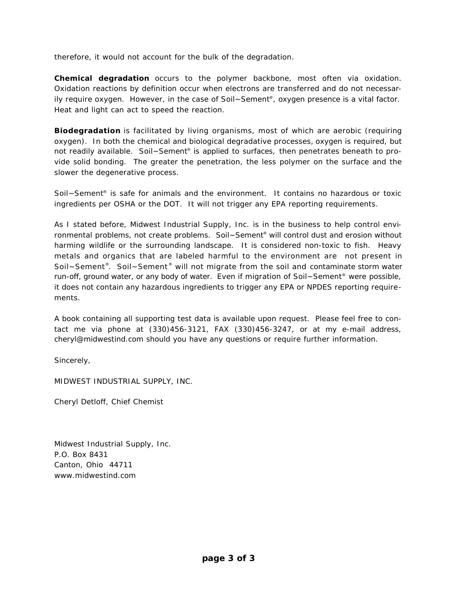therefore, it would not account for the bulk of the degradation.

*Chemical degradation* occurs to the polymer backbone, most often via oxidation. Oxidation reactions by definition occur when electrons are transferred and do not necessarily require oxygen. However, in the case of Soil~Sement®, oxygen presence is a vital factor. Heat and light can act to speed the reaction.

*Biodegradation* is facilitated by living organisms, most of which are aerobic (requiring oxygen). In both the chemical and biological degradative processes, oxygen is required, but not readily available. Soil~Sement® is applied to surfaces, then penetrates beneath to provide solid bonding. The greater the penetration, the less polymer on the surface and the slower the degenerative process.

Soil~Sement® is safe for animals and the environment. It contains no hazardous or toxic ingredients per OSHA or the DOT. It will not trigger any EPA reporting requirements.

As I stated before, Midwest Industrial Supply, Inc. is in the business to help control environmental problems, not create problems. Soil~Sement® will control dust and erosion without harming wildlife or the surrounding landscape. It is considered non-toxic to fish. Heavy metals and organics that are labeled harmful to the environment are not present in Soil~Sement®. Soil~Sement® will not migrate from the soil and contaminate storm water run-off, ground water, or any body of water. Even if migration of Soil~Sement<sup>®</sup> were possible, it does not contain any hazardous ingredients to trigger any EPA or NPDES reporting requirements.

A book containing all supporting test data is available upon request. Please feel free to contact me via phone at (330)456-3121, FAX (330)456-3247, or at my e-mail address, cheryl@midwestind.com should you have any questions or require further information.

Sincerely,

MIDWEST INDUSTRIAL SUPPLY, INC.

Cheryl Detloff, Chief Chemist

Midwest Industrial Supply, Inc. P.O. Box 8431 Canton, Ohio 44711 www.midwestind.com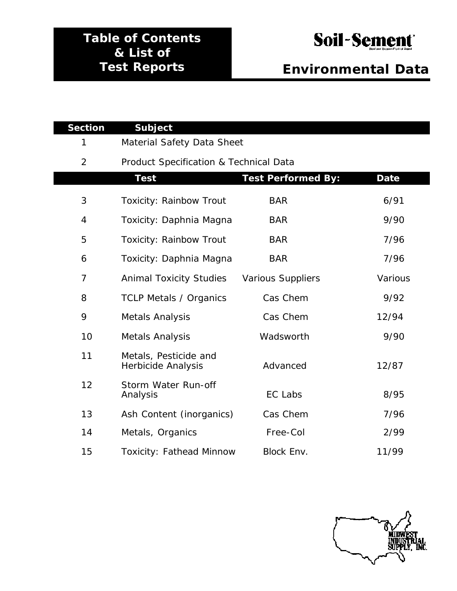## **Table of Contents & List of Test Reports**

## Soil-Sement

## *Environmental Data*

| <b>Section</b> | <b>Subject</b>                                     |                           |             |
|----------------|----------------------------------------------------|---------------------------|-------------|
| 1              | Material Safety Data Sheet                         |                           |             |
| $\overline{2}$ | Product Specification & Technical Data             |                           |             |
|                | <b>Test</b>                                        | <b>Test Performed By:</b> | <b>Date</b> |
| 3              | <b>Toxicity: Rainbow Trout</b>                     | <b>BAR</b>                | 6/91        |
| $\overline{4}$ | Toxicity: Daphnia Magna                            | <b>BAR</b>                | 9/90        |
| 5              | <b>Toxicity: Rainbow Trout</b>                     | <b>BAR</b>                | 7/96        |
| 6              | Toxicity: Daphnia Magna                            | <b>BAR</b>                | 7/96        |
| $\overline{7}$ | <b>Animal Toxicity Studies</b>                     | <b>Various Suppliers</b>  | Various     |
| 8              | <b>TCLP Metals / Organics</b>                      | Cas Chem                  | 9/92        |
| 9              | <b>Metals Analysis</b>                             | Cas Chem                  | 12/94       |
| 10             | Metals Analysis                                    | Wadsworth                 | 9/90        |
| 11             | Metals, Pesticide and<br><b>Herbicide Analysis</b> | Advanced                  | 12/87       |
| 12             | Storm Water Run-off<br>Analysis                    | EC Labs                   | 8/95        |
| 13             | Ash Content (inorganics)                           | Cas Chem                  | 7/96        |
| 14             | Metals, Organics                                   | Free-Col                  | 2/99        |
| 15             | <b>Toxicity: Fathead Minnow</b>                    | Block Env.                | 11/99       |

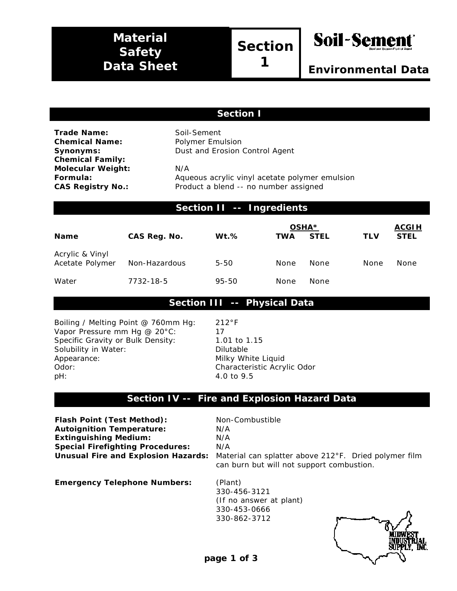## **Material Safety Data Sheet**

## **Section**

**1**



#### **Section I**

**Trade Name:** Soil-Sement **Chemical Name:** Polymer Emulsion **Chemical Family: Molecular Weight:** N/A

**Synonyms:** Dust and Erosion Control Agent

**Formula:** Aqueous acrylic vinyl acetate polymer emulsion **CAS Registry No.:** Product a blend -- no number assigned

#### **Section II -- Ingredients**

| <b>Name</b>                        | CAS Reg. No.  | $Wt.\%$  | <b>TWA</b> | OSHA <sup>*</sup><br><b>STEL</b> | <b>TLV</b> | <u>ACGIH</u><br><b>STEL</b> |
|------------------------------------|---------------|----------|------------|----------------------------------|------------|-----------------------------|
| Acrylic & Vinyl<br>Acetate Polymer | Non-Hazardous | $5 - 50$ | None       | None                             | None       | None                        |
| Water                              | 7732-18-5     | 95-50    | None       | None                             |            |                             |

#### **Section III -- Physical Data**

Boiling / Melting Point @ 760mm Hg: 212°F Vapor Pressure mm Hg @ 20°C: 17 Specific Gravity or Bulk Density: 1.01 to 1.15 Solubility in Water: Dilutable Appearance: Milky White Liquid Odor: Characteristic Acrylic Odor pH: 4.0 to 9.5

#### **Section IV -- Fire and Explosion Hazard Data**

**Flash Point (Test Method):** Non-Combustible **Autoignition Temperature:** N/A **Extinguishing Medium:** N/A **Special Firefighting Procedures:** N/A

**Unusual Fire and Explosion Hazards:** Material can splatter above 212°F. Dried polymer film can burn but will not support combustion.

**Emergency Telephone Numbers:** (Plant)

330-456-3121 (If no answer at plant) 330-453-0666 330-862-3712

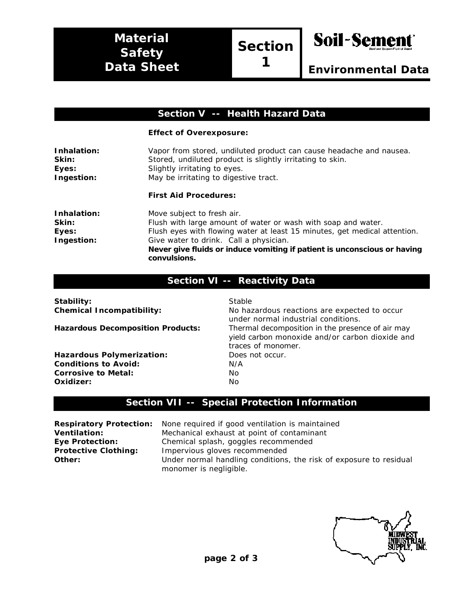**Section**

**1**



#### **Section V -- Health Hazard Data**

#### **Effect of Overexposure:**

| Inhalation:<br>Skin:<br>Eyes:<br>Ingestion: | Vapor from stored, undiluted product can cause headache and nausea.<br>Stored, undiluted product is slightly irritating to skin.<br>Slightly irritating to eyes.<br>May be irritating to digestive tract. |  |  |
|---------------------------------------------|-----------------------------------------------------------------------------------------------------------------------------------------------------------------------------------------------------------|--|--|
|                                             | <b>First Aid Procedures:</b>                                                                                                                                                                              |  |  |
| Inhalation:                                 | Move subject to fresh air.                                                                                                                                                                                |  |  |
| Skin:                                       | Flush with large amount of water or wash with soap and water.                                                                                                                                             |  |  |
| Eyes:                                       | Flush eyes with flowing water at least 15 minutes, get medical attention.                                                                                                                                 |  |  |
| Ingestion:                                  | Give water to drink. Call a physician.                                                                                                                                                                    |  |  |
|                                             | Never give fluids or induce vomiting if patient is unconscious or having<br>convulsions.                                                                                                                  |  |  |

#### **Section VI -- Reactivity Data**

| Stability:<br><b>Chemical Incompatibility:</b> | Stable<br>No hazardous reactions are expected to occur<br>under normal industrial conditions.                             |
|------------------------------------------------|---------------------------------------------------------------------------------------------------------------------------|
| <b>Hazardous Decomposition Products:</b>       | Thermal decomposition in the presence of air may<br>yield carbon monoxide and/or carbon dioxide and<br>traces of monomer. |
| <b>Hazardous Polymerization:</b>               | Does not occur.                                                                                                           |
| <b>Conditions to Avoid:</b>                    | N/A                                                                                                                       |
| Corrosive to Metal:                            | No.                                                                                                                       |
| Oxidizer:                                      | No.                                                                                                                       |

#### **Section VII -- Special Protection Information**

**Respiratory Protection:** None required if good ventilation is maintained **Ventilation:** Mechanical exhaust at point of contaminant **Eye Protection:** Chemical splash, goggles recommended **Protective Clothing:** Impervious gloves recommended **Other:** Under normal handling conditions, the risk of exposure to residual monomer is negligible.

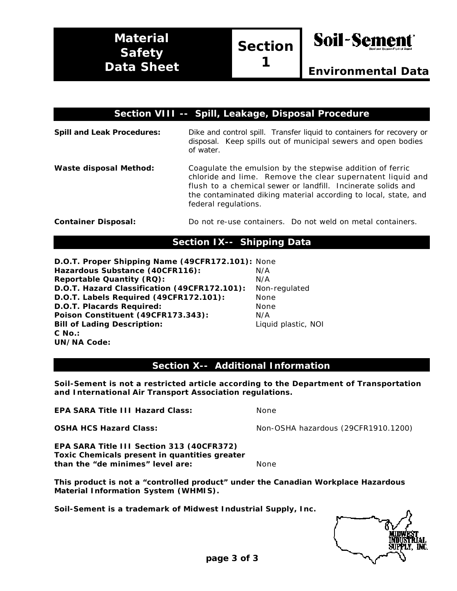**1**



| Section VIII -- Spill, Leakage, Disposal Procedure |                                                                                                                                                                                                                                                                                    |  |  |
|----------------------------------------------------|------------------------------------------------------------------------------------------------------------------------------------------------------------------------------------------------------------------------------------------------------------------------------------|--|--|
| <b>Spill and Leak Procedures:</b>                  | Dike and control spill. Transfer liquid to containers for recovery or<br>disposal. Keep spills out of municipal sewers and open bodies<br>of water.                                                                                                                                |  |  |
| <b>Waste disposal Method:</b>                      | Coagulate the emulsion by the stepwise addition of ferric<br>chloride and lime. Remove the clear supernatent liquid and<br>flush to a chemical sewer or landfill. Incinerate solids and<br>the contaminated diking material according to local, state, and<br>federal regulations. |  |  |
| <b>Container Disposal:</b>                         | Do not re-use containers. Do not weld on metal containers.                                                                                                                                                                                                                         |  |  |

#### **Section IX-- Shipping Data**

**D.O.T. Proper Shipping Name (49CFR172.101):** None Hazardous Substance (40CFR116): N/A **Reportable Quantity (RQ):** N/A **D.O.T. Hazard Classification (49CFR172.101):** Non-regulated **D.O.T. Labels Required (49CFR172.101):** None **D.O.T. Placards Required:** None **Poison Constituent (49CFR173.343):** N/A **Bill of Lading Description:** Liquid plastic, NOI **C No.: UN/NA Code:**

**Section X-- Additional Information**

**Soil-Sement is not a restricted article according to the Department of Transportation and International Air Transport Association regulations.**

**EPA SARA Title III Hazard Class:** None

**OSHA HCS Hazard Class:** Non-OSHA hazardous (29CFR1910.1200)

**EPA SARA Title III Section 313 (40CFR372) Toxic Chemicals present in quantities greater than the "de minimes" level are:** None

**This product is not a "controlled product" under the Canadian Workplace Hazardous Material Information System (WHMIS).**

**Soil-Sement is a trademark of Midwest Industrial Supply, Inc.**

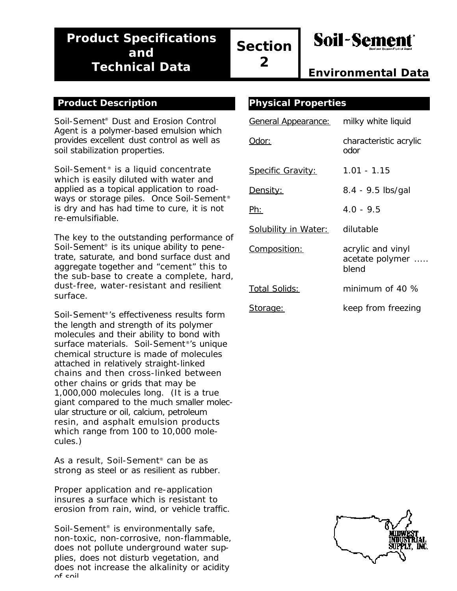## **Product Specifications and Technical Data**

**Soil-Sement** 

*Environmental Data*

#### **Product Description**

Soil-Sement® Dust and Erosion Control Agent is a polymer-based emulsion which provides excellent dust control as well as soil stabilization properties.

Soil-Sement<sup>®</sup> is a liquid concentrate which is easily diluted with water and applied as a topical application to roadways or storage piles. Once Soil-Sement<sup>®</sup> is dry and has had time to cure, it is not re-emulsifiable.

The key to the outstanding performance of Soil-Sement® is its unique ability to penetrate, saturate, and bond surface dust and aggregate together and "cement" this to the sub-base to create a complete, hard, dust-free, water-resistant and resilient surface.

Soil-Sement®'s effectiveness results form the length and strength of its polymer molecules and their ability to bond with surface materials. Soil-Sement®'s unique chemical structure is made of molecules attached in relatively straight-linked chains and then cross-linked between other chains or grids that may be 1,000,000 molecules long. (It is a true giant compared to the much smaller molecular structure or oil, calcium, petroleum resin, and asphalt emulsion products which range from 100 to 10,000 molecules.)

As a result, Soil-Sement® can be as strong as steel or as resilient as rubber.

Proper application and re-application insures a surface which is resistant to erosion from rain, wind, or vehicle traffic.

Soil-Sement<sup>®</sup> is environmentally safe, non-toxic, non-corrosive, non-flammable, does not pollute underground water supplies, does not disturb vegetation, and does not increase the alkalinity or acidity of soil.

|  | <b>Physical Properties</b> |
|--|----------------------------|
|  |                            |

| <u>General Appearance:</u>  | milky white liquid                            |
|-----------------------------|-----------------------------------------------|
| Odor:                       | characteristic acrylic<br>odor                |
| <b>Specific Gravity:</b>    | 1.01 - 1.15                                   |
| <u>Density:</u>             | 8.4 - 9.5 lbs/gal                             |
| Ph:                         | $4.0 - 9.5$                                   |
| <b>Solubility in Water:</b> | dilutable                                     |
| <u>Composition:</u>         | acrylic and vinyl<br>acetate polymer<br>blend |
| Total Solids:               | minimum of 40 $\%$                            |
| <u>Storage:</u>             | keep from freezing                            |

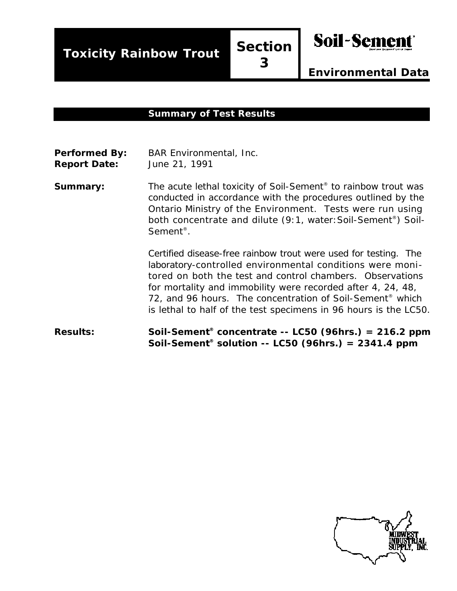**Toxicity Rainbow Trout Section**

**3**



*Environmental Data*

#### **Summary of Test Results**

| <b>Performed By:</b> | <b>BAR Environmental, Inc.</b> |
|----------------------|--------------------------------|
| <b>Report Date:</b>  | June 21, 1991                  |

**Summary:** The acute lethal toxicity of Soil-Sement<sup>®</sup> to rainbow trout was conducted in accordance with the procedures outlined by the Ontario Ministry of the Environment. Tests were run using both concentrate and dilute (9:1, water:Soil-Sement® ) Soil-Sement® .

> Certified disease-free rainbow trout were used for testing. The laboratory-controlled environmental conditions were monitored on both the test and control chambers. Observations for mortality and immobility were recorded after 4, 24, 48, 72, and 96 hours. The concentration of Soil-Sement<sup>®</sup> which is lethal to half of the test specimens in 96 hours is the LC50.

**Results: Soil-Sement® concentrate -- LC50 (96hrs.) = 216.2 ppm Soil-Sement® solution -- LC50 (96hrs.) = 2341.4 ppm**

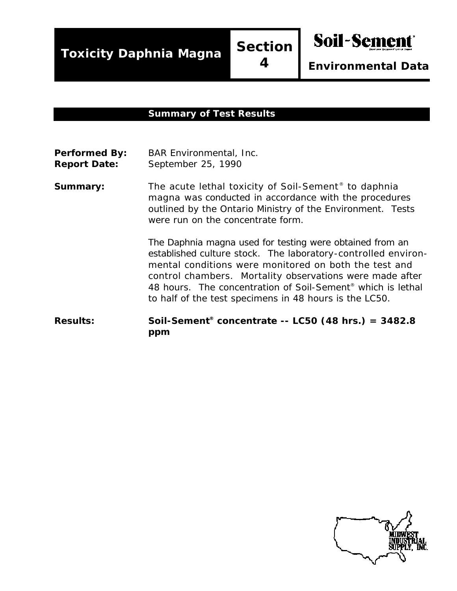**Toxicity Daphnia Magna Section**

**4**

*Environmental Data*

**Soil-Sement** 

#### **Summary of Test Results**

- Performed By: BAR Environmental, Inc. **Report Date:** September 25, 1990
- **Summary:** The acute lethal toxicity of Soil-Sement<sup>®</sup> to daphnia magna was conducted in accordance with the procedures outlined by the Ontario Ministry of the Environment. Tests were run on the concentrate form.

The Daphnia magna used for testing were obtained from an established culture stock. The laboratory-controlled environmental conditions were monitored on both the test and control chambers. Mortality observations were made after 48 hours. The concentration of Soil-Sement® which is lethal to half of the test specimens in 48 hours is the LC50.

#### **Results: Soil-Sement® concentrate -- LC50 (48 hrs.) = 3482.8 ppm**

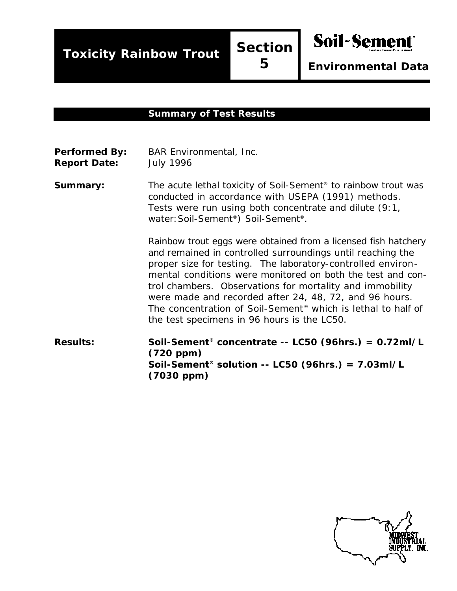**Toxicity Rainbow Trout Section**

**5**

*Environmental Data*

**Soil-Sement** 

#### **Summary of Test Results**

**Performed By:** BAR Environmental, Inc. **Report Date:** July 1996

**Summary:** The acute lethal toxicity of Soil-Sement<sup>®</sup> to rainbow trout was conducted in accordance with USEPA (1991) methods. Tests were run using both concentrate and dilute (9:1, water:Soil-Sement®) Soil-Sement®.

> Rainbow trout eggs were obtained from a licensed fish hatchery and remained in controlled surroundings until reaching the proper size for testing. The laboratory-controlled environmental conditions were monitored on both the test and control chambers. Observations for mortality and immobility were made and recorded after 24, 48, 72, and 96 hours. The concentration of Soil-Sement® which is lethal to half of the test specimens in 96 hours is the LC50.

**Results: Soil-Sement® concentrate -- LC50 (96hrs.) = 0.72ml/L (720 ppm) Soil-Sement® solution -- LC50 (96hrs.) = 7.03ml/L (7030 ppm)**

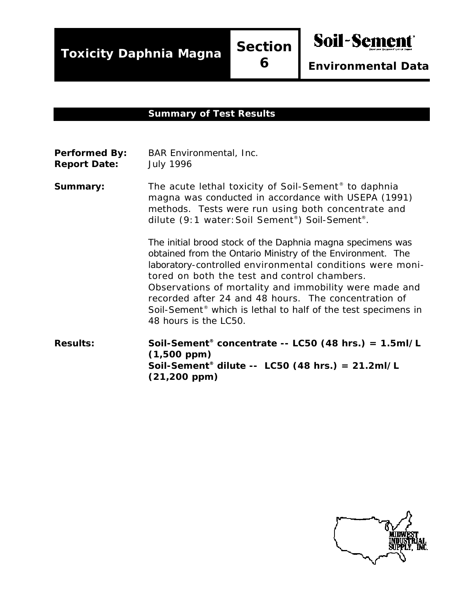**Toxicity Daphnia Magna Section**

**6**

*Environmental Data*

**Soil-Sement** 

#### **Summary of Test Results**

| <b>Performed By:</b> | <b>BAR Environmental, Inc.</b> |
|----------------------|--------------------------------|
| <b>Report Date:</b>  | <b>July 1996</b>               |

**Summary:** The acute lethal toxicity of Soil-Sement<sup>®</sup> to daphnia magna was conducted in accordance with USEPA (1991) methods. Tests were run using both concentrate and dilute (9:1 water:Soil Sement® ) Soil-Sement® .

> The initial brood stock of the Daphnia magna specimens was obtained from the Ontario Ministry of the Environment. The laboratory-controlled environmental conditions were monitored on both the test and control chambers. Observations of mortality and immobility were made and recorded after 24 and 48 hours. The concentration of Soil-Sement® which is lethal to half of the test specimens in 48 hours is the LC50.

**Results: Soil-Sement® concentrate -- LC50 (48 hrs.) = 1.5ml/L (1,500 ppm) Soil-Sement® dilute -- LC50 (48 hrs.) = 21.2ml/L (21,200 ppm)**

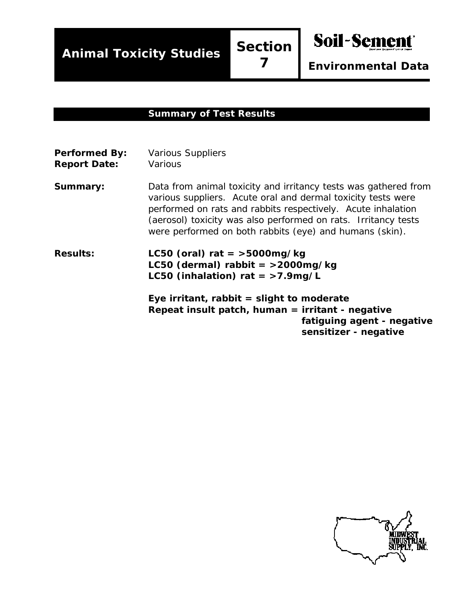**Animal Toxicity Studies Section**

**7**

Soil-Sement

*Environmental Data*

#### **Summary of Test Results**

| <b>Performed By:</b><br><b>Report Date:</b> | <b>Various Suppliers</b><br>Various                                                                                                                                                                                                                                                                                          |
|---------------------------------------------|------------------------------------------------------------------------------------------------------------------------------------------------------------------------------------------------------------------------------------------------------------------------------------------------------------------------------|
| Summary:                                    | Data from animal toxicity and irritancy tests was gathered from<br>various suppliers. Acute oral and dermal toxicity tests were<br>performed on rats and rabbits respectively. Acute inhalation<br>(aerosol) toxicity was also performed on rats. Irritancy tests<br>were performed on both rabbits (eye) and humans (skin). |
| <b>Results:</b>                             | LC50 (oral) rat = $>$ 5000mg/kg<br>LC50 (dermal) rabbit = $>$ 2000mg/kg<br>LC50 (inhalation) rat = $>7.9$ mg/L                                                                                                                                                                                                               |
|                                             | Eye irritant, rabbit $=$ slight to moderate<br>Repeat insult patch, human = irritant - negative<br>fatiguing agent - negative<br>sensitizer - negative                                                                                                                                                                       |

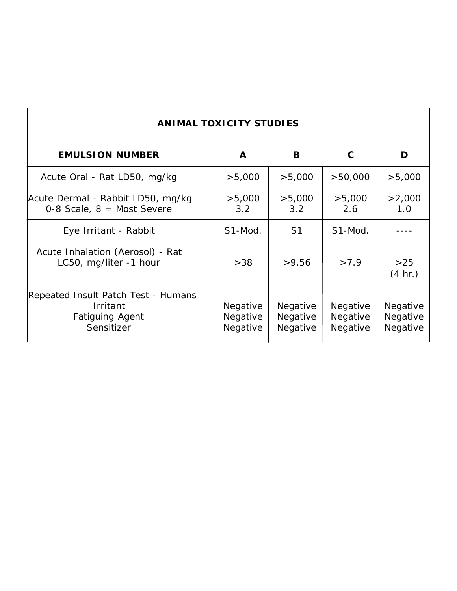|  |  | <b>ANIMAL TOXICITY STUDIES</b> |  |
|--|--|--------------------------------|--|
|--|--|--------------------------------|--|

| <b>EMULSION NUMBER</b>                                                                  | A                                | В                                | С                                | D                                |
|-----------------------------------------------------------------------------------------|----------------------------------|----------------------------------|----------------------------------|----------------------------------|
| Acute Oral - Rat LD50, mg/kg                                                            | >5,000                           | >5,000                           | >50,000                          | >5,000                           |
| Acute Dermal - Rabbit LD50, mg/kg<br>0-8 Scale, $8 =$ Most Severe                       | >5,000<br>3.2                    | >5,000<br>3.2                    | >5,000<br>2.6                    | >2,000<br>1.0                    |
| Eye Irritant - Rabbit                                                                   | S1-Mod.                          | S <sub>1</sub>                   | S1-Mod.                          |                                  |
| Acute Inhalation (Aerosol) - Rat<br>LC50, mg/liter -1 hour                              | >38                              | >9.56                            | >7.9                             | >25<br>(4 hr.)                   |
| Repeated Insult Patch Test - Humans<br>Irritant<br><b>Fatiguing Agent</b><br>Sensitizer | Negative<br>Negative<br>Negative | Negative<br>Negative<br>Negative | Negative<br>Negative<br>Negative | Negative<br>Negative<br>Negative |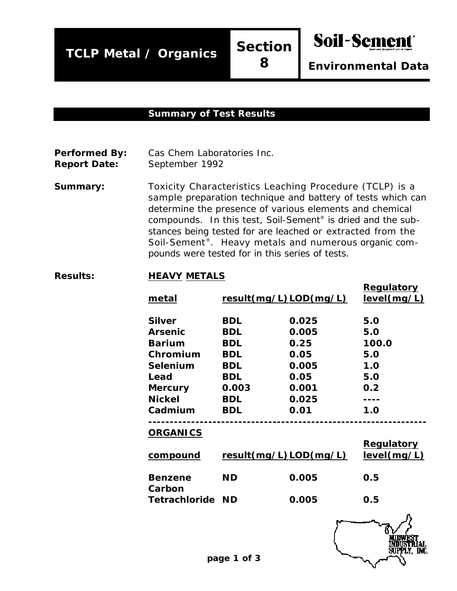**TCLP Metal / Organics Section**

**8**

*Environmental Data*

Soil-Sement

#### **Summary of Test Results**

**Performed By:** Cas Chem Laboratories Inc.

**Report Date:** September 1992

**Summary:** Toxicity Characteristics Leaching Procedure (TCLP) is a sample preparation technique and battery of tests which can determine the presence of various elements and chemical compounds. In this test, Soil-Sement® is dried and the substances being tested for are leached or extracted from the Soil-Sement® . Heavy metals and numerous organic compounds were tested for in this series of tests.

#### **Results: HEAVY METALS**

| metal                    |            | result(mg/L)LOD(mg/L) | <b>Regulatory</b><br>level(mg/L) |
|--------------------------|------------|-----------------------|----------------------------------|
| <b>Silver</b>            | <b>BDL</b> | 0.025                 | 5.0                              |
| <b>Arsenic</b>           | <b>BDL</b> | 0.005                 | 5.0                              |
| <b>Barium</b>            | <b>BDL</b> | 0.25                  | 100.0                            |
| Chromium                 | <b>BDL</b> | 0.05                  | 5.0                              |
| Selenium                 | <b>BDL</b> | 0.005                 | 1.0                              |
| Lead                     | <b>BDL</b> | 0.05                  | 5.0                              |
| <b>Mercury</b>           | 0.003      | 0.001                 | 0.2                              |
| <b>Nickel</b>            | <b>BDL</b> | 0.025                 |                                  |
| Cadmium                  | <b>BDL</b> | 0.01                  | 1.0                              |
| <b>ORGANICS</b>          |            |                       |                                  |
| compound                 |            | result(mg/L)LOD(mg/L) | <b>Regulatory</b><br>level(mg/L) |
| <b>Benzene</b><br>Carbon | <b>ND</b>  | 0.005                 | 0.5                              |
| <b>Tetrachloride</b>     | <b>ND</b>  | 0.005                 | 0.5                              |
|                          |            |                       |                                  |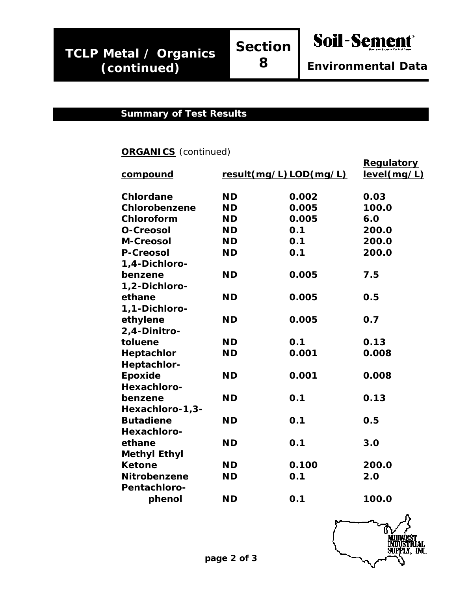**8**

Soil-Sement

### **Summary of Test Results**

## **ORGANICS** (continued)

| <u>compound</u>     |           | result(mg/L)LOD(mg/L) | <b>Regulatory</b><br>level(mg/L) |
|---------------------|-----------|-----------------------|----------------------------------|
| <b>Chlordane</b>    | <b>ND</b> | 0.002                 | 0.03                             |
| Chlorobenzene       | <b>ND</b> | 0.005                 | 100.0                            |
| Chloroform          | <b>ND</b> | 0.005                 | 6.0                              |
| <b>O-Creosol</b>    | <b>ND</b> | O.1                   | 200.0                            |
| <b>M-Creosol</b>    | <b>ND</b> | 0.1                   | 200.0                            |
| <b>P-Creosol</b>    | <b>ND</b> | 0.1                   | 200.0                            |
| 1,4-Dichloro-       |           |                       |                                  |
| benzene             | <b>ND</b> | 0.005                 | 7.5                              |
| 1,2-Dichloro-       |           |                       |                                  |
| ethane              | <b>ND</b> | 0.005                 | 0.5                              |
| 1,1-Dichloro-       |           |                       |                                  |
| ethylene            | <b>ND</b> | 0.005                 | 0.7                              |
| 2,4-Dinitro-        |           |                       |                                  |
| toluene             | <b>ND</b> | 0.1                   | 0.13                             |
| Heptachlor          | <b>ND</b> | 0.001                 | 0.008                            |
| Heptachlor-         |           |                       |                                  |
| Epoxide             | <b>ND</b> | 0.001                 | 0.008                            |
| Hexachloro-         |           |                       |                                  |
| benzene             | <b>ND</b> | 0.1                   | 0.13                             |
| Hexachloro-1,3-     |           |                       |                                  |
| <b>Butadiene</b>    | <b>ND</b> | 0.1                   | 0.5                              |
| Hexachloro-         |           |                       |                                  |
| ethane              | <b>ND</b> | 0.1                   | 3.0                              |
| <b>Methyl Ethyl</b> |           |                       |                                  |
| <b>Ketone</b>       | <b>ND</b> | 0.100                 | 200.0                            |
| <b>Nitrobenzene</b> | <b>ND</b> | 0.1                   | 2.0                              |
| <b>Pentachloro-</b> |           |                       |                                  |
| phenol              | <b>ND</b> | 0.1                   | 100.0                            |

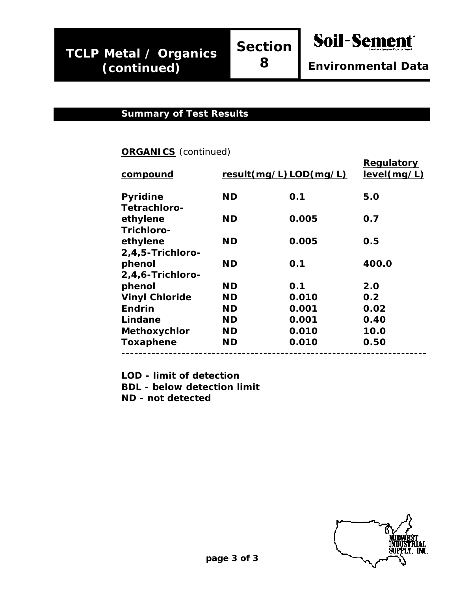#### **Summary of Test Results**

#### **ORGANICS** (continued)

| compound              |           | result(mg/L)LOD(mg/L) | Regulatory<br>level(mg/L) |
|-----------------------|-----------|-----------------------|---------------------------|
| <b>Pyridine</b>       | <b>ND</b> | 0.1                   | 5.0                       |
| <b>Tetrachloro-</b>   |           |                       |                           |
| ethylene              | <b>ND</b> | 0.005                 | 0.7                       |
| Trichloro-            |           |                       |                           |
| ethylene              | <b>ND</b> | 0.005                 | 0.5                       |
| 2,4,5-Trichloro-      |           |                       |                           |
| phenol                | <b>ND</b> | 0.1                   | 400.0                     |
| 2,4,6-Trichloro-      |           |                       |                           |
| phenol                | <b>ND</b> | 0.1                   | 2.0                       |
| <b>Vinyl Chloride</b> | <b>ND</b> | 0.010                 | 0.2                       |
| <b>Endrin</b>         | <b>ND</b> | 0.001                 | 0.02                      |
| Lindane               | <b>ND</b> | 0.001                 | 0.40                      |
| <b>Methoxychlor</b>   | <b>ND</b> | 0.010                 | 10.0                      |
| <b>Toxaphene</b>      | <b>ND</b> | 0.010                 | 0.50                      |
|                       |           |                       |                           |

**LOD - limit of detection BDL - below detection limit ND - not detected**

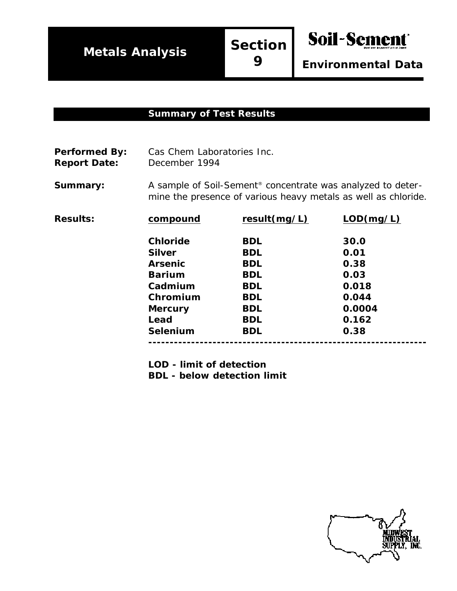**Soil-Sement** 

*Environmental Data*

#### **Summary of Test Results**

Performed By: Cas Chem Laboratories Inc. **Report Date:** December 1994

**Summary:** A sample of Soil-Sement<sup>®</sup> concentrate was analyzed to determine the presence of various heavy metals as well as chloride.

| <b>Results:</b> | compound        | result(mg/L) | LOD(mg/L) |
|-----------------|-----------------|--------------|-----------|
|                 | <b>Chloride</b> | <b>BDL</b>   | 30.0      |
|                 | <b>Silver</b>   | <b>BDL</b>   | 0.01      |
|                 | <b>Arsenic</b>  | <b>BDL</b>   | 0.38      |
|                 | <b>Barium</b>   | <b>BDL</b>   | 0.03      |
|                 | Cadmium         | <b>BDL</b>   | 0.018     |
|                 | Chromium        | <b>BDL</b>   | 0.044     |
|                 | <b>Mercury</b>  | <b>BDL</b>   | 0.0004    |
|                 | Lead            | <b>BDL</b>   | 0.162     |
|                 | <b>Selenium</b> | <b>BDL</b>   | 0.38      |
|                 |                 |              |           |

**LOD - limit of detection**

**BDL - below detection limit**

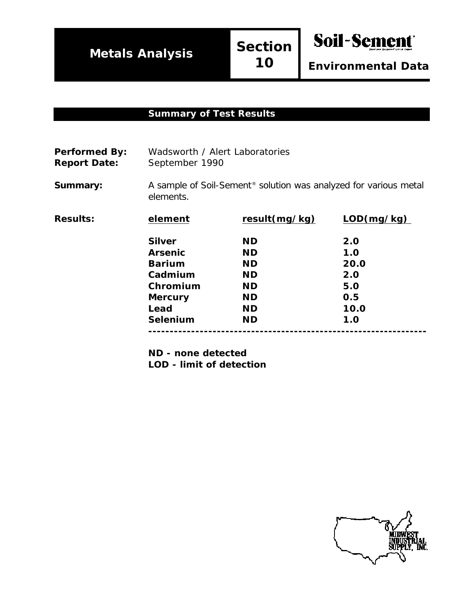Soil-Sement

#### **Summary of Test Results**

| <b>Performed By:</b> | Wadsworth / Alert Laboratories |
|----------------------|--------------------------------|
| <b>Report Date:</b>  | September 1990                 |

**Summary:** A sample of Soil-Sement<sup>®</sup> solution was analyzed for various metal elements.

| <b>Results:</b> | element        | result(mg/kg) | LOD(mg/kg) |
|-----------------|----------------|---------------|------------|
|                 | <b>Silver</b>  | <b>ND</b>     | 2.0        |
|                 | <b>Arsenic</b> | <b>ND</b>     | 1.0        |
|                 | <b>Barium</b>  | <b>ND</b>     | 20.0       |
|                 | Cadmium        | <b>ND</b>     | 2.0        |
|                 | Chromium       | <b>ND</b>     | 5.0        |
|                 | <b>Mercury</b> | <b>ND</b>     | 0.5        |
|                 | Lead           | <b>ND</b>     | 10.0       |
|                 | Selenium       | <b>ND</b>     | 1.0        |
|                 |                |               |            |

**ND - none detected LOD - limit of detection**

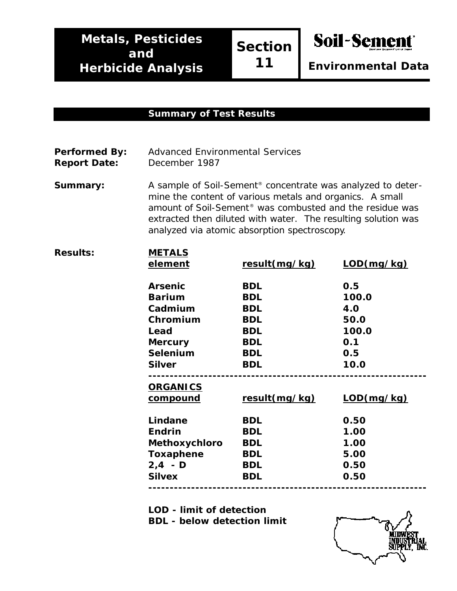**Section 11**

Soil-Sement

*Environmental Data*

#### **Summary of Test Results**

| <b>Performed By:</b> | <b>Advanced Environmental Services</b> |
|----------------------|----------------------------------------|
| <b>Report Date:</b>  | December 1987                          |

**Summary:** A sample of Soil-Sement<sup>®</sup> concentrate was analyzed to determine the content of various metals and organics. A small amount of Soil-Sement® was combusted and the residue was extracted then diluted with water. The resulting solution was analyzed via atomic absorption spectroscopy.

| <b>Results:</b> | <b>METALS</b>    |               |            |
|-----------------|------------------|---------------|------------|
|                 | element          | result(mg/kg) | LOD(mg/kg) |
|                 | <b>Arsenic</b>   | <b>BDL</b>    | 0.5        |
|                 | <b>Barium</b>    | <b>BDL</b>    | 100.0      |
|                 | Cadmium          | <b>BDL</b>    | 4.0        |
|                 | Chromium         | <b>BDL</b>    | 50.0       |
|                 | Lead             | <b>BDL</b>    | 100.0      |
|                 | <b>Mercury</b>   | <b>BDL</b>    | 0.1        |
|                 | <b>Selenium</b>  | <b>BDL</b>    | 0.5        |
|                 | <b>Silver</b>    | <b>BDL</b>    | 10.0       |
|                 |                  |               |            |
|                 | <b>ORGANICS</b>  |               |            |
|                 | <u>compound</u>  | result(mg/kg) | LOD(mg/kg) |
|                 | Lindane          | <b>BDL</b>    | 0.50       |
|                 | <b>Endrin</b>    | <b>BDL</b>    | 1.00       |
|                 | Methoxychloro    | <b>BDL</b>    | 1.00       |
|                 | <b>Toxaphene</b> | <b>BDL</b>    | 5.00       |
|                 | $2, 4 - D$       | <b>BDL</b>    | 0.50       |
|                 | <b>Silvex</b>    | <b>BDL</b>    | 0.50       |
|                 |                  |               |            |

**LOD - limit of detection**

**BDL - below detection limit**

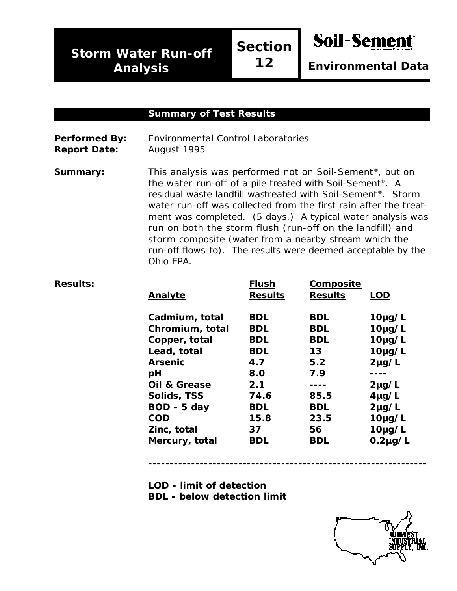$Results:$ 

**Section 12**

**Soil-Sement** 

*Environmental Data*

#### **Summary of Test Results**

**Performed By:** Environmental Control Laboratories **Report Date:** August 1995

**Summary:** This analysis was performed not on Soil-Sement<sup>®</sup>, but on the water run-off of a pile treated with Soil-Sement®. A residual waste landfill wastreated with Soil-Sement®. Storm water run-off was collected from the first rain after the treatment was completed. (5 days.) A typical water analysis was run on both the storm flush (run-off on the landfill) and storm composite (water from a nearby stream which the run-off flows to). The results were deemed acceptable by the Ohio EPA.

| Analyte                 | <b>Flush</b><br><b>Results</b> | Composite<br><b>Results</b> | <b>LOD</b>   |
|-------------------------|--------------------------------|-----------------------------|--------------|
| Cadmium, total          | <b>BDL</b>                     | <b>BDL</b>                  | $10\mu g/L$  |
| Chromium, total         | <b>BDL</b>                     | <b>BDL</b>                  | $10\mu g/L$  |
| Copper, total           | <b>BDL</b>                     | <b>BDL</b>                  | $10\mu g/L$  |
| Lead, total             | <b>BDL</b>                     | 13                          | $10\mu g/L$  |
| <b>Arsenic</b>          | 4.7                            | 5.2                         | $2\mu$ g/L   |
| рH                      | 8.0                            | 7.9                         | ----         |
| <b>Oil &amp; Grease</b> | 2.1                            |                             | $2\mu g/L$   |
| Solids, TSS             | 74.6                           | 85.5                        | $4\mu g/L$   |
| BOD - 5 day             | <b>BDL</b>                     | <b>BDL</b>                  | $2\mu$ g/L   |
| <b>COD</b>              | 15.8                           | 23.5                        | $10\mu g/L$  |
| Zinc, total             | 37                             | 56                          | $10\mu g/L$  |
| Mercury, total          | <b>BDL</b>                     | BDL                         | $0.2\mu g/L$ |
|                         |                                |                             |              |

**-----------------------------------------------------------------**

- **LOD limit of detection**
- **BDL below detection limit**

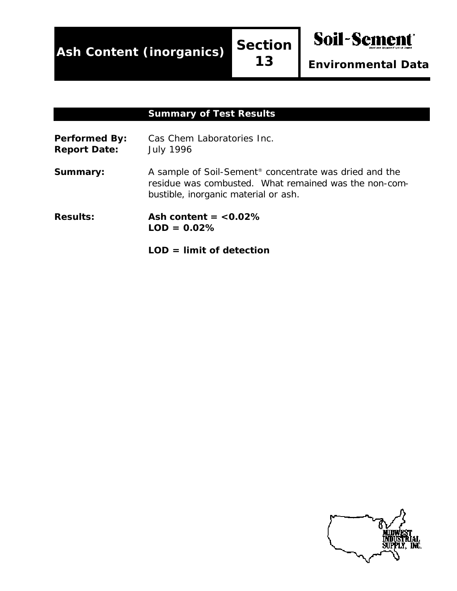**Ash Content (inorganics) Section**

**13**

*Environmental Data*

**Soil-Semer** 

#### **Summary of Test Results**

Performed By: Cas Chem Laboratories Inc. **Report Date:** July 1996 **Summary:** A sample of Soil-Sement<sup>®</sup> concentrate was dried and the residue was combusted. What remained was the non-combustible, inorganic material or ash. **Results: Ash content = <0.02% LOD = 0.02%**

**LOD = limit of detection**

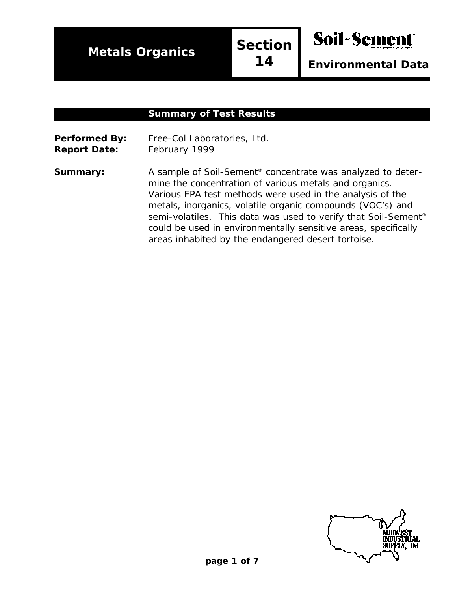**Metals Organics**

**Section 14**

*Environmental Data*

Soil-Seme

#### **Summary of Test Results**

**Performed By:** Free-Col Laboratories, Ltd. **Report Date:** February 1999

**Summary:** A sample of Soil-Sement<sup>®</sup> concentrate was analyzed to determine the concentration of various metals and organics. Various EPA test methods were used in the analysis of the metals, inorganics, volatile organic compounds (VOC's) and semi-volatiles. This data was used to verify that Soil-Sement<sup>®</sup> could be used in environmentally sensitive areas, specifically areas inhabited by the endangered desert tortoise.

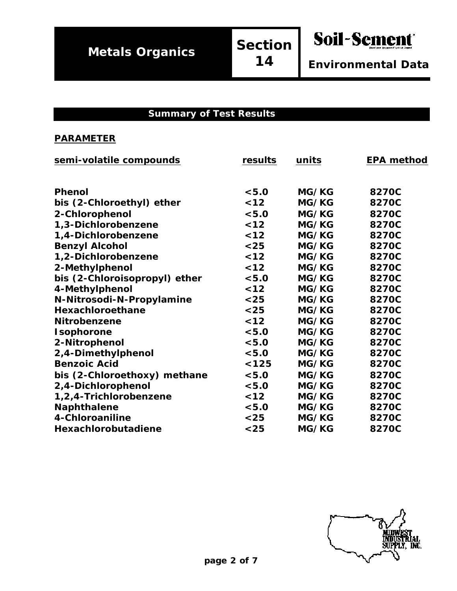Soil-Sement *Environmental Data*

#### **Summary of Test Results**

| semi-volatile compounds       | results | units | <b>EPA method</b> |
|-------------------------------|---------|-------|-------------------|
|                               |         |       |                   |
| <b>Phenol</b>                 | < 5.0   | MG/KG | 8270C             |
| bis (2-Chloroethyl) ether     | $12$    | MG/KG | 8270C             |
| 2-Chlorophenol                | < 5.0   | MG/KG | 8270C             |
| 1,3-Dichlorobenzene           | $12$    | MG/KG | 8270C             |
| 1,4-Dichlorobenzene           | $12$    | MG/KG | 8270C             |
| <b>Benzyl Alcohol</b>         | $25$    | MG/KG | 8270C             |
| 1,2-Dichlorobenzene           | $12$    | MG/KG | 8270C             |
| 2-Methylphenol                | $12$    | MG/KG | 8270C             |
| bis (2-Chloroisopropyl) ether | < 5.0   | MG/KG | 8270C             |
| 4-Methylphenol                | $12$    | MG/KG | 8270C             |
| N-Nitrosodi-N-Propylamine     | $25$    | MG/KG | 8270C             |
| Hexachloroethane              | $25$    | MG/KG | 8270C             |
| Nitrobenzene                  | $12$    | MG/KG | 8270C             |
| Isophorone                    | < 5.0   | MG/KG | 8270C             |
| 2-Nitrophenol                 | < 5.0   | MG/KG | 8270C             |
| 2,4-Dimethylphenol            | < 5.0   | MG/KG | 8270C             |
| <b>Benzoic Acid</b>           | < 125   | MG/KG | 8270C             |
| bis (2-Chloroethoxy) methane  | < 5.0   | MG/KG | 8270C             |
| 2,4-Dichlorophenol            | < 5.0   | MG/KG | 8270C             |
| 1,2,4-Trichlorobenzene        | $12$    | MG/KG | 8270C             |
| <b>Naphthalene</b>            | < 5.0   | MG/KG | 8270C             |
| 4-Chloroaniline               | $25$    | MG/KG | 8270C             |
| Hexachlorobutadiene           | $25$    | MG/KG | 8270C             |
|                               |         |       |                   |

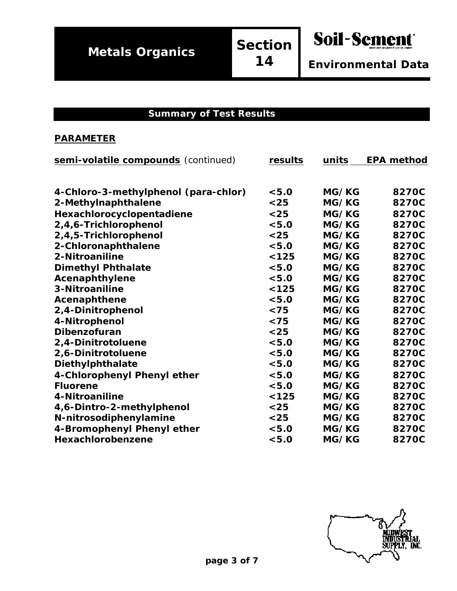**14**

*Environmental Data*

Soil-Sement

#### **Summary of Test Results**

| semi-volatile compounds (continued)  | results | units        | <b>EPA method</b> |
|--------------------------------------|---------|--------------|-------------------|
|                                      |         |              |                   |
| 4-Chloro-3-methylphenol (para-chlor) | < 5.0   | MG/KG        | 8270C             |
| 2-Methylnaphthalene                  | $25$    | MG/KG        | 8270C             |
| Hexachlorocyclopentadiene            | $25$    | MG/KG        | 8270C             |
| 2,4,6-Trichlorophenol                | < 5.0   | MG/KG        | 8270C             |
| 2,4,5-Trichlorophenol                | $25$    | MG/KG        | 8270C             |
| 2-Chloronaphthalene                  | < 5.0   | MG/KG        | 8270C             |
| 2-Nitroaniline                       | < 125   | MG/KG        | 8270C             |
| <b>Dimethyl Phthalate</b>            | < 5.0   | MG/KG        | 8270C             |
| Acenaphthylene                       | < 5.0   | MG/KG        | 8270C             |
| 3-Nitroaniline                       | < 125   | MG/KG        | 8270C             |
| Acenaphthene                         | < 5.0   | MG/KG        | 8270C             |
| 2,4-Dinitrophenol                    | $75$    | MG/KG        | 8270C             |
| 4-Nitrophenol                        | < 75    | MG/KG        | 8270C             |
| Dibenzofuran                         | $25$    | MG/KG        | 8270C             |
| 2,4-Dinitrotoluene                   | < 5.0   | MG/KG        | 8270C             |
| 2,6-Dinitrotoluene                   | < 5.0   | <b>MG/KG</b> | 8270C             |
| Diethylphthalate                     | < 5.0   | MG/KG        | 8270C             |
| 4-Chlorophenyl Phenyl ether          | < 5.0   | MG/KG        | 8270C             |
| <b>Fluorene</b>                      | < 5.0   | MG/KG        | 8270C             |
| 4-Nitroaniline                       | < 125   | MG/KG        | 8270C             |
| 4,6-Dintro-2-methylphenol            | $25$    | MG/KG        | 8270C             |
| N-nitrosodiphenylamine               | $25$    | MG/KG        | 8270C             |
| 4-Bromophenyl Phenyl ether           | < 5.0   | MG/KG        | 8270C             |
| Hexachlorobenzene                    | < 5.0   | MG/KG        | 8270C             |

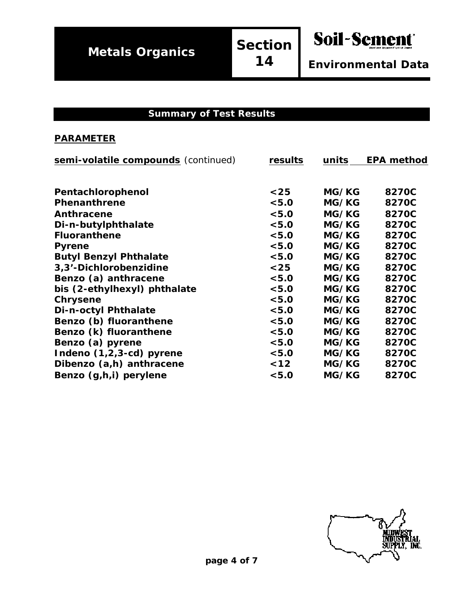Soil-Sement

*Environmental Data*

#### **Summary of Test Results**

| semi-volatile compounds (continued) | results | units | <b>EPA method</b> |
|-------------------------------------|---------|-------|-------------------|
|                                     |         |       |                   |
| Pentachlorophenol                   | $25$    | MG/KG | 8270C             |
| <b>Phenanthrene</b>                 | < 5.0   | MG/KG | 8270C             |
| Anthracene                          | < 5.0   | MG/KG | 8270C             |
| Di-n-butylphthalate                 | < 5.0   | MG/KG | 8270C             |
| <b>Fluoranthene</b>                 | < 5.0   | MG/KG | 8270C             |
| <b>Pyrene</b>                       | < 5.0   | MG/KG | 8270C             |
| <b>Butyl Benzyl Phthalate</b>       | < 5.0   | MG/KG | 8270C             |
| 3,3'-Dichlorobenzidine              | $<25$   | MG/KG | 8270C             |
| Benzo (a) anthracene                | < 5.0   | MG/KG | 8270C             |
| bis (2-ethylhexyl) phthalate        | < 5.0   | MG/KG | 8270C             |
| Chrysene                            | < 5.0   | MG/KG | 8270C             |
| Di-n-octyl Phthalate                | < 5.0   | MG/KG | 8270C             |
| Benzo (b) fluoranthene              | < 5.0   | MG/KG | 8270C             |
| Benzo (k) fluoranthene              | < 5.0   | MG/KG | 8270C             |
| Benzo (a) pyrene                    | < 5.0   | MG/KG | 8270C             |
| Indeno (1,2,3-cd) pyrene            | < 5.0   | MG/KG | 8270C             |
| Dibenzo (a,h) anthracene            | < 12    | MG/KG | 8270C             |
| Benzo (g,h,i) perylene              | < 5.0   | MG/KG | 8270C             |

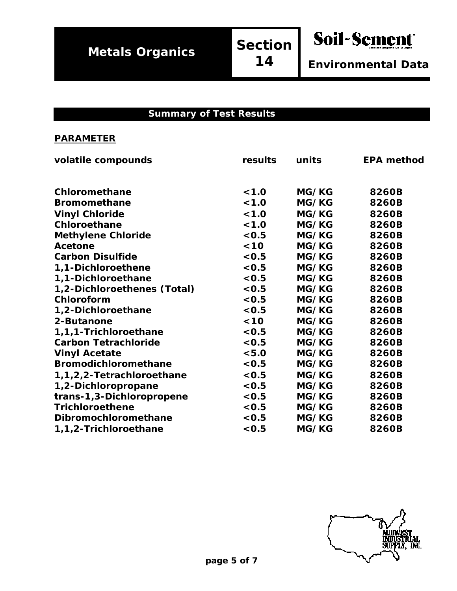Soil-Sement

*Environmental Data*

#### **Summary of Test Results**

| volatile compounds          | results | units | <b>EPA method</b> |
|-----------------------------|---------|-------|-------------------|
|                             |         |       |                   |
| Chloromethane               | < 1.0   | MG/KG | 8260B             |
| <b>Bromomethane</b>         | < 1.0   | MG/KG | 8260B             |
| <b>Vinyl Chloride</b>       | < 1.0   | MG/KG | 8260B             |
| Chloroethane                | < 1.0   | MG/KG | 8260B             |
| <b>Methylene Chloride</b>   | < 0.5   | MG/KG | 8260B             |
| <b>Acetone</b>              | < 10    | MG/KG | 8260B             |
| <b>Carbon Disulfide</b>     | < 0.5   | MG/KG | 8260B             |
| 1,1-Dichloroethene          | < 0.5   | MG/KG | 8260B             |
| 1,1-Dichloroethane          | < 0.5   | MG/KG | 8260B             |
| 1,2-Dichloroethenes (Total) | < 0.5   | MG/KG | 8260B             |
| Chloroform                  | < 0.5   | MG/KG | 8260B             |
| 1,2-Dichloroethane          | < 0.5   | MG/KG | 8260B             |
| 2-Butanone                  | < 10    | MG/KG | 8260B             |
| 1,1,1-Trichloroethane       | < 0.5   | MG/KG | 8260B             |
| <b>Carbon Tetrachloride</b> | < 0.5   | MG/KG | 8260B             |
| <b>Vinyl Acetate</b>        | < 5.0   | MG/KG | 8260B             |
| <b>Bromodichloromethane</b> | < 0.5   | MG/KG | 8260B             |
| 1,1,2,2-Tetrachloroethane   | < 0.5   | MG/KG | 8260B             |
| 1,2-Dichloropropane         | < 0.5   | MG/KG | 8260B             |
| trans-1,3-Dichloropropene   | < 0.5   | MG/KG | 8260B             |
| <b>Trichloroethene</b>      | < 0.5   | MG/KG | 8260B             |
| Dibromochloromethane        | < 0.5   | MG/KG | 8260B             |
| 1,1,2-Trichloroethane       | < 0.5   | MG/KG | 8260B             |
|                             |         |       |                   |

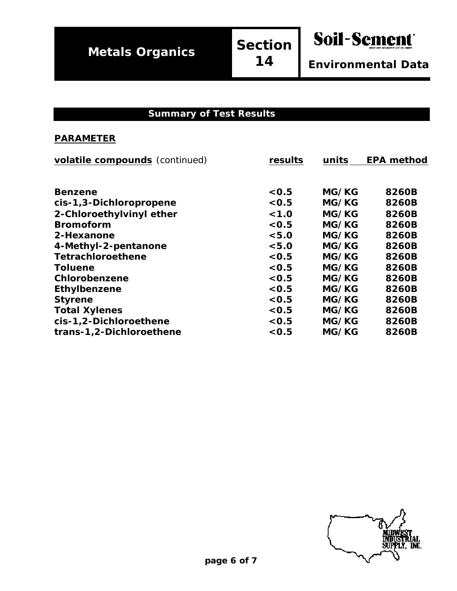*Environmental Data*

Soil-Sement

#### **Summary of Test Results**

| volatile compounds (continued) | results | units | <b>EPA method</b> |
|--------------------------------|---------|-------|-------------------|
|                                |         |       |                   |
| <b>Benzene</b>                 | < 0.5   | MG/KG | 8260B             |
| cis-1,3-Dichloropropene        | < 0.5   | MG/KG | 8260B             |
| 2-Chloroethylvinyl ether       | < 1.0   | MG/KG | 8260B             |
| <b>Bromoform</b>               | < 0.5   | MG/KG | 8260B             |
| 2-Hexanone                     | < 5.0   | MG/KG | 8260B             |
| 4-Methyl-2-pentanone           | < 5.0   | MG/KG | 8260B             |
| <b>Tetrachloroethene</b>       | < 0.5   | MG/KG | 8260B             |
| <b>Toluene</b>                 | < 0.5   | MG/KG | 8260B             |
| Chlorobenzene                  | < 0.5   | MG/KG | 8260B             |
| Ethylbenzene                   | < 0.5   | MG/KG | 8260B             |
| <b>Styrene</b>                 | < 0.5   | MG/KG | 8260B             |
| <b>Total Xylenes</b>           | < 0.5   | MG/KG | 8260B             |
| cis-1,2-Dichloroethene         | < 0.5   | MG/KG | 8260B             |
| trans-1,2-Dichloroethene       | < 0.5   | MG/KG | 8260B             |
|                                |         |       |                   |

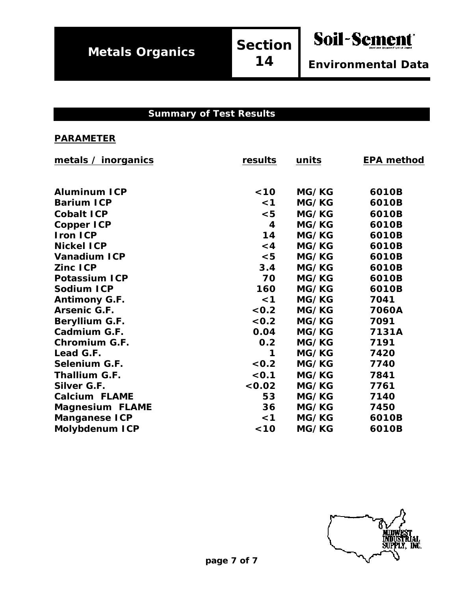*Environmental Data*

Soil-Sement

#### **Summary of Test Results**

| metals / inorganics    | results  | units        | <b>EPA method</b> |
|------------------------|----------|--------------|-------------------|
|                        |          |              |                   |
| <b>Aluminum ICP</b>    | < 10     | MG/KG        | 6010B             |
| <b>Barium ICP</b>      | $\leq 1$ | MG/KG        | 6010B             |
| <b>Cobalt ICP</b>      | $5$      | MG/KG        | 6010B             |
| <b>Copper ICP</b>      | 4        | MG/KG        | 6010B             |
| <b>Iron ICP</b>        | 14       | MG/KG        | 6010B             |
| <b>Nickel ICP</b>      | $\leq 4$ | MG/KG        | 6010B             |
| <b>Vanadium ICP</b>    | < 5      | <b>MG/KG</b> | 6010B             |
| Zinc ICP               | 3.4      | MG/KG        | 6010B             |
| <b>Potassium ICP</b>   | 70       | MG/KG        | 6010B             |
| Sodium ICP             | 160      | MG/KG        | 6010B             |
| <b>Antimony G.F.</b>   | $<$ 1    | MG/KG        | 7041              |
| Arsenic G.F.           | < 0.2    | MG/KG        | 7060A             |
| Beryllium G.F.         | < 0.2    | MG/KG        | 7091              |
| Cadmium G.F.           | 0.04     | MG/KG        | 7131A             |
| <b>Chromium G.F.</b>   | 0.2      | MG/KG        | 7191              |
| Lead G.F.              | 1        | MG/KG        | 7420              |
| Selenium G.F.          | < 0.2    | MG/KG        | 7740              |
| Thallium G.F.          | < 0.1    | MG/KG        | 7841              |
| Silver G.F.            | 0.02     | MG/KG        | 7761              |
| <b>Calcium FLAME</b>   | 53       | MG/KG        | 7140              |
| <b>Magnesium FLAME</b> | 36       | MG/KG        | 7450              |
| <b>Manganese ICP</b>   | $<$ 1    | MG/KG        | 6010B             |
| <b>Molybdenum ICP</b>  | $10$     | MG/KG        | 6010B             |
|                        |          |              |                   |